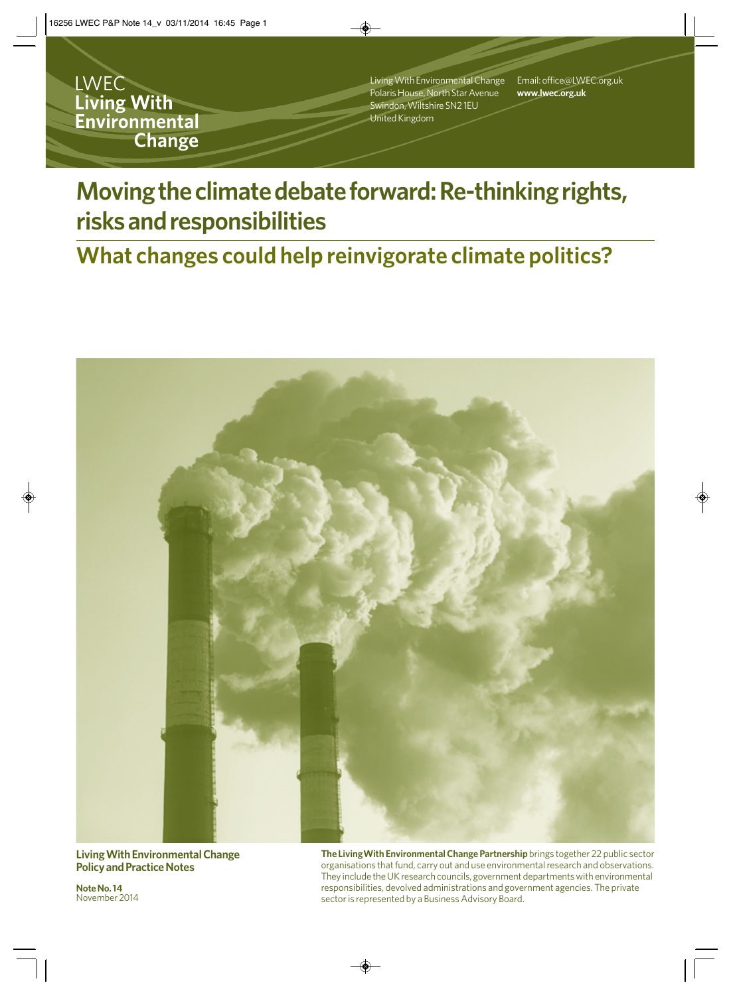**LWEC** Living With Environmental **Change** 

Living With Environmental Change Polaris House, North Star Avenue Swindon, Wiltshire SN2 1EU United Kingdom

Email: office@LWEC.org.uk **www.lwec.org.uk**

# **Moving the climate debate forward: Re-thinking rights, risks and responsibilities**

# **What changes could help reinvigorate climate politics?**



**Living With Environmental Change Policy and Practice Notes**

**The LivingWith Environmental Change Partnership** brings together 22 public sector organisations that fund, carry out and use environmental research and observations. They include the UK research councils, government departments with environmental responsibilities, devolved administrations and government agencies. The private sector is represented by a Business Advisory Board.

**Note No. 14**  November 2014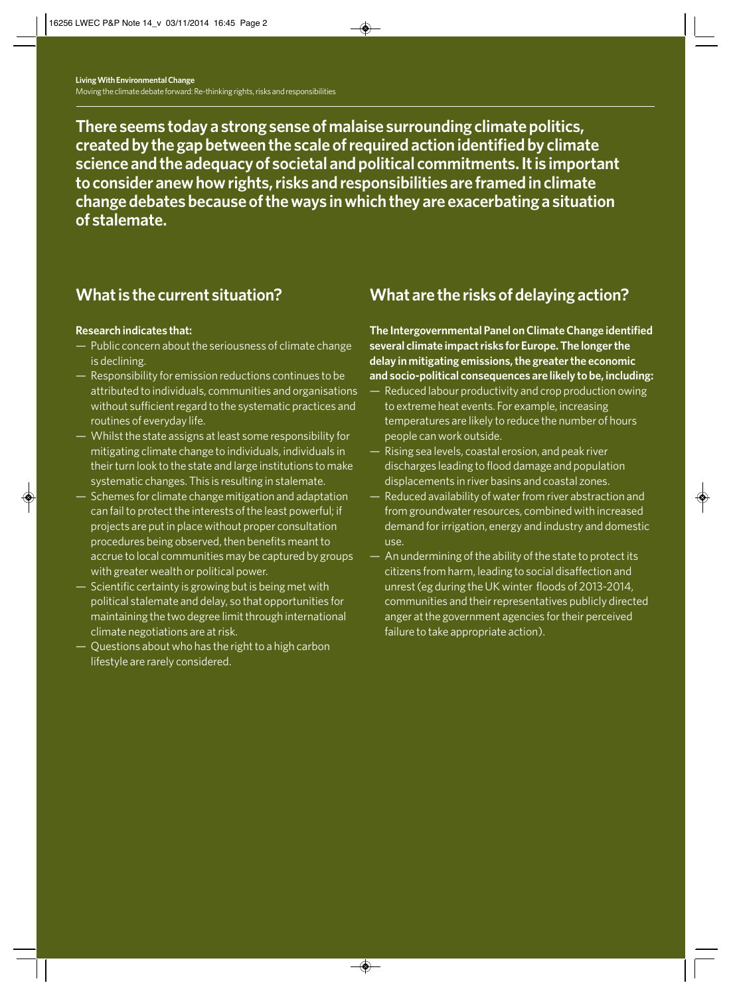**There seems today a strong sense of malaise surrounding climate politics, created by the gap between the scale of required action identified by climate science and the adequacy of societal and political commitments. It is important to consider anew how rights, risks and responsibilities are framed in climate change debates because of the ways in which they are exacerbating a situation of stalemate.**

## **What is the current situation?**

#### **Research indicates that:**

- Public concern about the seriousness of climate change is declining.
- Responsibility for emission reductions continues to be attributed to individuals, communities and organisations without sufficient regard to the systematic practices and routines of everyday life.
- Whilst the state assigns at least some responsibility for mitigating climate change to individuals, individuals in their turn look to the state and large institutions to make systematic changes. This is resulting in stalemate.
- Schemes for climate change mitigation and adaptation can fail to protect the interests of the least powerful; if projects are put in place without proper consultation procedures being observed, then benefits meant to accrue to local communities may be captured by groups with greater wealth or political power.
- Scientific certainty is growing but is being met with political stalemate and delay, so that opportunities for maintaining the two degree limit through international climate negotiations are at risk.
- Questions about who has the right to a high carbon lifestyle are rarely considered.

## **What are the risks of delaying action?**

**The Intergovernmental Panel on Climate Change identified several climate impact risks for Europe. The longer the delay in mitigating emissions, the greater the economic and socio-political consequences are likely to be, including:** 

- Reduced labour productivity and crop production owing to extreme heat events. For example, increasing temperatures are likely to reduce the number of hours people can work outside.
- Rising sea levels, coastal erosion, and peak river discharges leading to flood damage and population displacements in river basins and coastal zones.
- Reduced availability of water from river abstraction and from groundwater resources, combined with increased demand for irrigation, energy and industry and domestic use.
- An undermining of the ability of the state to protect its citizens from harm, leading to social disaffection and unrest (eg during the UK winter floods of 2013-2014, communities and their representatives publicly directed anger at the government agencies for their perceived failure to take appropriate action).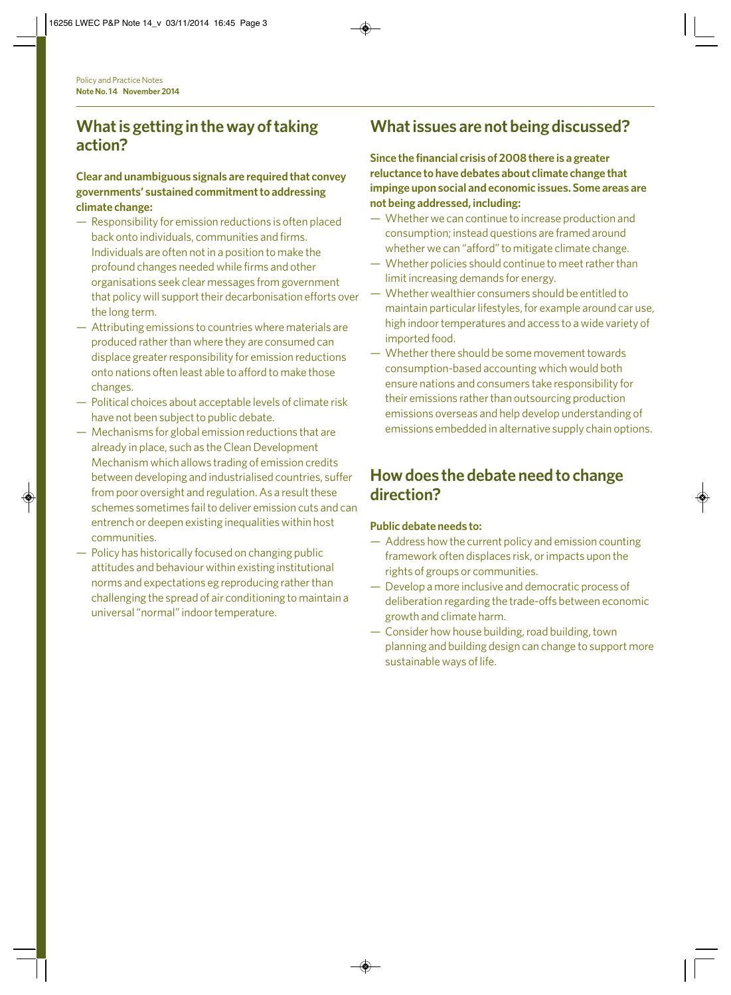### **What is getting in the way of taking action?**

#### **Clear and unambiguous signals are required that convey governments' sustained commitment to addressing climate change:**

- Responsibility for emission reductions is often placed back onto individuals, communities and firms. Individuals are often not in a position to make the profound changes needed while firms and other organisations seek clear messages from government that policy will support their decarbonisation efforts over the long term.
- Attributing emissions to countries where materials are produced rather than where they are consumed can displace greater responsibility for emission reductions onto nations often least able to afford to make those changes.
- Political choices about acceptable levels of climate risk have not been subject to public debate.
- Mechanisms for global emission reductions that are already in place, such as the Clean Development Mechanism which allows trading of emission credits between developing and industrialised countries, suffer from poor oversight and regulation. As a result these schemes sometimes fail to deliver emission cuts and can entrench or deepen existing inequalities within host communities.
- Policy has historically focused on changing public attitudes and behaviour within existing institutional norms and expectations eg reproducing rather than challenging the spread of air conditioning to maintain a universal "normal" indoor temperature.

# **What issues are not being discussed?**

**Since the financial crisis of 2008 there is a greater reluctance to have debates about climate change that impinge upon social and economic issues. Some areas are not being addressed, including:**

- Whether we can continue to increase production and consumption; instead questions are framed around whether we can "afford" to mitigate climate change.
- Whether policies should continue to meet rather than limit increasing demands for energy.
- Whether wealthier consumers should be entitled to maintain particular lifestyles, for example around car use, high indoor temperatures and access to a wide variety of imported food.
- Whether there should be some movement towards consumption-based accounting which would both ensure nations and consumers take responsibility for their emissions rather than outsourcing production emissions overseas and help develop understanding of emissions embedded in alternative supply chain options.

### **How does the debate need to change direction?**

#### **Public debate needs to:**

- Address how the current policy and emission counting framework often displaces risk, or impacts upon the rights of groups or communities.
- Develop a more inclusive and democratic process of deliberation regarding the trade-offs between economic growth and climate harm.
- Consider how house building, road building, town planning and building design can change to support more sustainable ways of life.